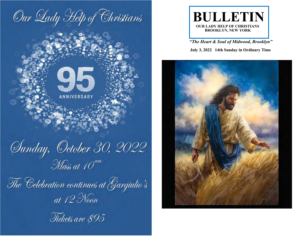

Junday, October 30, 2022

**ANNIVERSARY** 

The Celebration continues at Gargiulio's at  $12$  Noon





*"The Heart & Soul of Midwood, Brooklyn"*

 **July 3, 2022 14th Sunday in Ordinary Time**

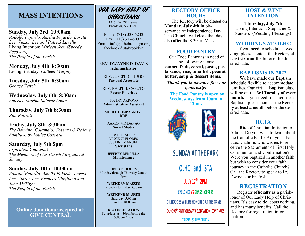# **MASS INTENTIONS**

**Sunday, July 3rd 10:00am** *Rodolfo Fajardo, Amelia Fajardo, Loreta Lee, Vinzon Lee and Patrick Lavelle*  Living Intention: *Mirleen Jean (Speedy Recovery) The People of the Parish*

**Monday, July 4th 8:30am** Living Birthday*: Colleen Murphy*

**Tuesday, July 5th 8:30am** *George Veitch*

**Wednesday, July 6th 8:30am** *America Marina Salazar Lopez*

**Thursday, July 7th 8:30am** *Rita Rotiroti*

**Friday, July 8th 8:30am** *The Bonvino, Calamaio, Cosenza & Pedone Families: by Louise Cosenza*

**Saturday, July 9th 5pm** *Espiridion Cudiamat The Members of Our Parish Purgatorial Society*

**Sunday, July 10th 10:00am** *, Rodolfo Fajardo, Amelia Fajardo, Loreta Lee, Vinzon Lee, Frances Giugliano and John McTighe The People of the Parish*

**Online donations accepted at: GIVE CENTRAL**

# OUR LADY HELP OF CHRISTIANS

1315 East 28th Street Brooklyn, NY 11210

Phone: (718) 338-5242 Fax: (718) 377-8092 Email: info@olhcbrooklyn.org facebook@stabrooklyn

REV. DWAYNE D. DAVIS **Administrator**

REV. JOSEPH G. HUGO **Pastoral Associate**

REV. RALPH J. CAPUTO **Pastor Emeritus**

KATHY ARROYO **Administrative Assistant**

NICOLE COMPAGNONE **DRE**

AARON MINDANAO **Social Media**

JOSEPH ALLEN VINCENT FLORES JUSTINE MANUEL **Sacristans**

JEFFREY REMULLA **Maintenance**

**OFFICE HOURS** Monday through Thursday 9am to 3pm

> **WEEKDAY MASSES** Monday to Friday 8:30am

**WEEKEND MASSES**  Saturday 5:00pm Sunday 10:00am

**RECONCILIATION**  Saturdays at 4:30pm before the 5:00pm Mass

## **RECTORY OFFICE HOURS**

 The Rectory will be **closed** on **Monday, July 4th** in observance of **Independence Day.**  The C**hurch** will **close** that day also **after** the 8:30am Mass.

### **FOOD PANTRY**

Our Food Pantry is in need of the following items: **canned fruit, cereal, pasta, pasta sauce, rice, tuna fish, peanut butter, soup & dessert items.** 

*Thank you in advance for your generosity!*

 **The Food Pantry is open on Wednesdays from 10am to 12pm.**



# **SUNDAY AT THE PARK OLHC and STA JULY 17TH 2PM CYCLONES VS GRASSHOPPERS GIL HODGES WILL BE HONORED AT THE GAME OLHC 95TH ANNIVERSARY CELEBRATION CONTINUES**

**TICKETS: \$20 PER PERSON**

## **HOST & WINE INTENTION**

**Thursday, July 7th** Living Intention: Stephanie & Sanders (Wedding Blessings)

## **WEDDINGS AT OLHC**

If you need to schedule a wedding, please contact the Rectory **at least six months** before the desired date.

## **BAPTISMS IN 2022**

 We have made our Baptism schedule flexible to accommodate families. Our virtual Baptism class will be on the **3rd Tuesday of every month.** If you need to schedule a Baptism, please contact the Rectory **at least a month** before the desired date.

## **RCIA**

 Rite of Christian Initiation of Adults: Do you wish to learn about the Catholic Faith? Are you a baptized Catholic who wishes to receive the Sacraments of First Holy Communion and Confirmation? Were you baptized in another faith but wish to consider your faith journey in the Catholic Church? Call the Rectory to speak to Fr. Dwayne or Fr. Josh.

## **REGISTRATION**

 Register **officially** as a parishioner of Our Lady Help of Christians. It's easy to do, costs nothing, and has many benefits. Call the Rectory for registration information.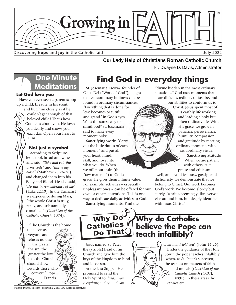

Discovering **hope** and joy in the Catholic faith.

# **Our Lady Help of Christians Roman Catholic Church<br>Fr. Dwayne D. Davis, Administrator**

# **One Minute Meditations**

#### **Let God love you**

Have you ever seen a parent scoop up a child, breathe in his scent,

> and hug him closely as if he couldn't get enough of that beloved child? That's how God feels about you. He loves you dearly and shows you each day. Open your heart to Him.

## **Not just a symbol**

According to Scripture, Jesus took bread and wine and said, "*Take and eat; this is my body"* and *"this is my blood"* (Matthew 26:26-28), and changed them into his Body and Blood. He also said, *"Do this in remembrance of me"* (Luke 22:19). In the Eucharist we experience during Mass, "the whole Christ is truly, really, and substantially contained" (*Catechism of the Catholic Church*, 1374).

"The Church is the home that accepts everyone and refuses no one ... the greater the sin, the greater the love that the Church should show towards those who convert." Pope Francis

**Find God in everyday things**

St. Josemaría Escrivá, founder of Opus Dei ("Work of God"), taught that extraordinary holiness can be found in ordinary circumstances: "Everything that is done for love becomes beautiful and grand" in God's eyes. Want the surest way to sainthood? St. Josemaría said to make every moment holy:

**Sanctifying work:** "Carry out the little duties of each moment," and put all your heart, mind, skill, and love into what you do. When we offer our tasks (the "raw material") to God's grace, He gives them infinite value. For example, activities – especially unpleasant ones – can be offered for our own or others' intentions. This is one way to dedicate daily activities to God. **Sanctifying moments:** Find the

"divine hidden in the most ordinary situations." God uses moments that are difficult, tedious, or just beyond our abilities to conform us to

Christ. Jesus spent most of His earthly life working and leading a holy but often ordinary life. With His grace, we grow in patience, perseverance, humility, compassion, and gratitude by meeting ordinary moments with extraordinary virtue.

> **Sanctifying attitude**: When we are patient with others, take praise and criticism

well, and avoid jealousy, gossip, and dishonesty, we demonstrate that we belong to Christ. Our work becomes God's work. We become, slowly but surely, "a saint, seemingly like everyone else around him, but deeply identified with Jesus Christ."

Why Do Catholics  $\overline{\mathsf{Do}}$  That $\overline{\mathsf{C}}$ 

**Why do Catholics believe the Pope can teach infallibly?**

Jesus named St. Peter the (visible) head of his Church and gave him the keys of the kingdom to bind and loose sin.

At the Last Supper, He promised to send the Holy Spirit to: "*teach you everything and remind you* 

# *of all that I told you"* (John 14:26).

Under the guidance of the Holy Spirit, the pope teaches infallibly when, as St. Peter's successor, he teaches on matters of faith and morals (*Catechism of the Catholic Church (*CCC), #891). In these areas, he cannot err.

© Copyright 2022 Success Publishing & Media, LLC All Rights Reserved